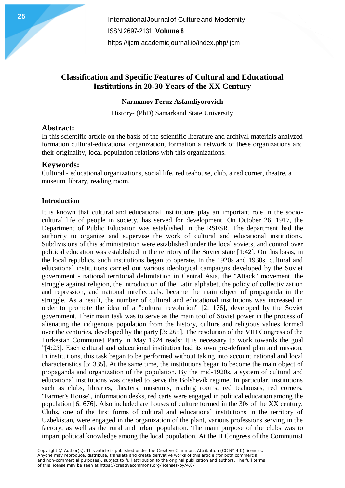**International Journal of Cultureand Modernity** ISSN 2697-2131, **Volume 8** https://ijcm.academiciournal.io/index.php/ijcm

# **Classification and Specific Features of Cultural and Educational Institutions in 20-30 Years of the XX Century**

#### **Narmanov Feruz Asfandiyorovich**

History- (PhD) Samarkand State University

## **Abstract:**

In this scientific article on the basis of the scientific literature and archival materials analyzed formation cultural-educational organization, formation a network of these organizations and their originality, local population relations with this organizations.

## **Keywords:**

Cultural - educational organizations, social life, red teahouse, club, a red corner, theatre, a museum, library, reading room.

#### **Introduction**

It is known that cultural and educational institutions play an important role in the sociocultural life of people in society. has served for development. On October 26, 1917, the Department of Public Education was established in the RSFSR. The department had the authority to organize and supervise the work of cultural and educational institutions. Subdivisions of this administration were established under the local soviets, and control over political education was established in the territory of the Soviet state [1:42]. On this basis, in the local republics, such institutions began to operate. In the 1920s and 1930s, cultural and educational institutions carried out various ideological campaigns developed by the Soviet government - national territorial delimitation in Central Asia, the "Attack" movement, the struggle against religion, the introduction of the Latin alphabet, the policy of collectivization and repression, and national intellectuals. became the main object of propaganda in the struggle. As a result, the number of cultural and educational institutions was increased in order to promote the idea of a "cultural revolution" [2: 176], developed by the Soviet government. Their main task was to serve as the main tool of Soviet power in the process of alienating the indigenous population from the history, culture and religious values formed over the centuries, developed by the party [3: 265]. The resolution of the VIII Congress of the Turkestan Communist Party in May 1924 reads: It is necessary to work towards the goal "[4:25]. Each cultural and educational institution had its own pre-defined plan and mission. In institutions, this task began to be performed without taking into account national and local characteristics [5: 335]. At the same time, the institutions began to become the main object of propaganda and organization of the population. By the mid-1920s, a system of cultural and educational institutions was created to serve the Bolshevik regime. In particular, institutions such as clubs, libraries, theaters, museums, reading rooms, red teahouses, red corners, "Farmer's House", information desks, red carts were engaged in political education among the population [6: 676]. Also included are houses of culture formed in the 30s of the XX century. Clubs, one of the first forms of cultural and educational institutions in the territory of Uzbekistan, were engaged in the organization of the plant, various professions serving in the factory, as well as the rural and urban population. The main purpose of the clubs was to impart political knowledge among the local population. At the II Congress of the Communist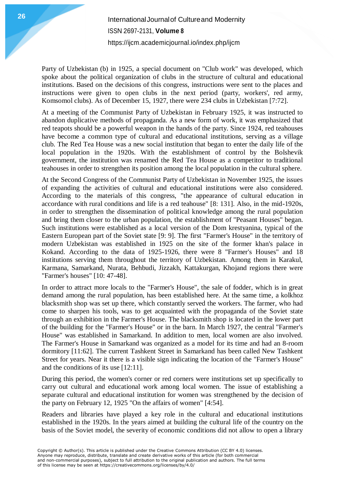Party of Uzbekistan (b) in 1925, a special document on "Club work" was developed, which spoke about the political organization of clubs in the structure of cultural and educational institutions. Based on the decisions of this congress, instructions were sent to the places and instructions were given to open clubs in the next period (party, workers', red army, Komsomol clubs). As of December 15, 1927, there were 234 clubs in Uzbekistan [7:72].

At a meeting of the Communist Party of Uzbekistan in February 1925, it was instructed to abandon duplicative methods of propaganda. As a new form of work, it was emphasized that red teapots should be a powerful weapon in the hands of the party. Since 1924, red teahouses have become a common type of cultural and educational institutions, serving as a village club. The Red Tea House was a new social institution that began to enter the daily life of the local population in the 1920s. With the establishment of control by the Bolshevik government, the institution was renamed the Red Tea House as a competitor to traditional teahouses in order to strengthen its position among the local population in the cultural sphere.

At the Second Congress of the Communist Party of Uzbekistan in November 1925, the issues of expanding the activities of cultural and educational institutions were also considered. According to the materials of this congress, "the appearance of cultural education in accordance with rural conditions and life is a red teahouse" [8: 131]. Also, in the mid-1920s, in order to strengthen the dissemination of political knowledge among the rural population and bring them closer to the urban population, the establishment of "Peasant Houses" began. Such institutions were established as a local version of the Dom krestyanina, typical of the Eastern European part of the Soviet state [9: 9]. The first "Farmer's House" in the territory of modern Uzbekistan was established in 1925 on the site of the former khan's palace in Kokand. According to the data of 1925-1926, there were 8 "Farmer's Houses" and 18 institutions serving them throughout the territory of Uzbekistan. Among them in Karakul, Karmana, Samarkand, Nurata, Behbudi, Jizzakh, Kattakurgan, Khojand regions there were "Farmer's houses" [10: 47-48].

In order to attract more locals to the "Farmer's House", the sale of fodder, which is in great demand among the rural population, has been established here. At the same time, a kolkhoz blacksmith shop was set up there, which constantly served the workers. The farmer, who had come to sharpen his tools, was to get acquainted with the propaganda of the Soviet state through an exhibition in the Farmer's House. The blacksmith shop is located in the lower part of the building for the "Farmer's House" or in the barn. In March 1927, the central "Farmer's House" was established in Samarkand. In addition to men, local women are also involved. The Farmer's House in Samarkand was organized as a model for its time and had an 8-room dormitory [11:62]. The current Tashkent Street in Samarkand has been called New Tashkent Street for years. Near it there is a visible sign indicating the location of the "Farmer's House" and the conditions of its use [12:11].

During this period, the women's corner or red corners were institutions set up specifically to carry out cultural and educational work among local women. The issue of establishing a separate cultural and educational institution for women was strengthened by the decision of the party on February 12, 1925 "On the affairs of women" [4:54].

Readers and libraries have played a key role in the cultural and educational institutions established in the 1920s. In the years aimed at building the cultural life of the country on the basis of the Soviet model, the severity of economic conditions did not allow to open a library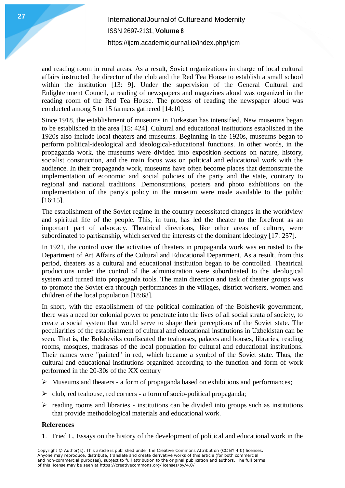# **International Journal of Cultureand Modernity** ISSN 2697-2131, **Volume 8** <https://ijcm.academicjournal.io/index.php/ijcm>

and reading room in rural areas. As a result, Soviet organizations in charge of local cultural affairs instructed the director of the club and the Red Tea House to establish a small school within the institution [13: 9]. Under the supervision of the General Cultural and Enlightenment Council, a reading of newspapers and magazines aloud was organized in the reading room of the Red Tea House. The process of reading the newspaper aloud was conducted among 5 to 15 farmers gathered [14:10].

Since 1918, the establishment of museums in Turkestan has intensified. New museums began to be established in the area [15: 424]. Cultural and educational institutions established in the 1920s also include local theaters and museums. Beginning in the 1920s, museums began to perform political-ideological and ideological-educational functions. In other words, in the propaganda work, the museums were divided into exposition sections on nature, history, socialist construction, and the main focus was on political and educational work with the audience. In their propaganda work, museums have often become places that demonstrate the implementation of economic and social policies of the party and the state, contrary to regional and national traditions. Demonstrations, posters and photo exhibitions on the implementation of the party's policy in the museum were made available to the public [16:15].

The establishment of the Soviet regime in the country necessitated changes in the worldview and spiritual life of the people. This, in turn, has led the theater to the forefront as an important part of advocacy. Theatrical directions, like other areas of culture, were subordinated to partisanship, which served the interests of the dominant ideology [17: 257].

In 1921, the control over the activities of theaters in propaganda work was entrusted to the Department of Art Affairs of the Cultural and Educational Department. As a result, from this period, theaters as a cultural and educational institution began to be controlled. Theatrical productions under the control of the administration were subordinated to the ideological system and turned into propaganda tools. The main direction and task of theater groups was to promote the Soviet era through performances in the villages, district workers, women and children of the local population [18:68].

In short, with the establishment of the political domination of the Bolshevik government, there was a need for colonial power to penetrate into the lives of all social strata of society, to create a social system that would serve to shape their perceptions of the Soviet state. The peculiarities of the establishment of cultural and educational institutions in Uzbekistan can be seen. That is, the Bolsheviks confiscated the teahouses, palaces and houses, libraries, reading rooms, mosques, madrasas of the local population for cultural and educational institutions. Their names were "painted" in red, which became a symbol of the Soviet state. Thus, the cultural and educational institutions organized according to the function and form of work performed in the 20-30s of the XX century

- $\triangleright$  Museums and theaters a form of propaganda based on exhibitions and performances;
- $\triangleright$  club, red teahouse, red corners a form of socio-political propaganda;
- $\triangleright$  reading rooms and libraries institutions can be divided into groups such as institutions that provide methodological materials and educational work.

### **References**

1. Fried L. Essays on the history of the development of political and educational work in the